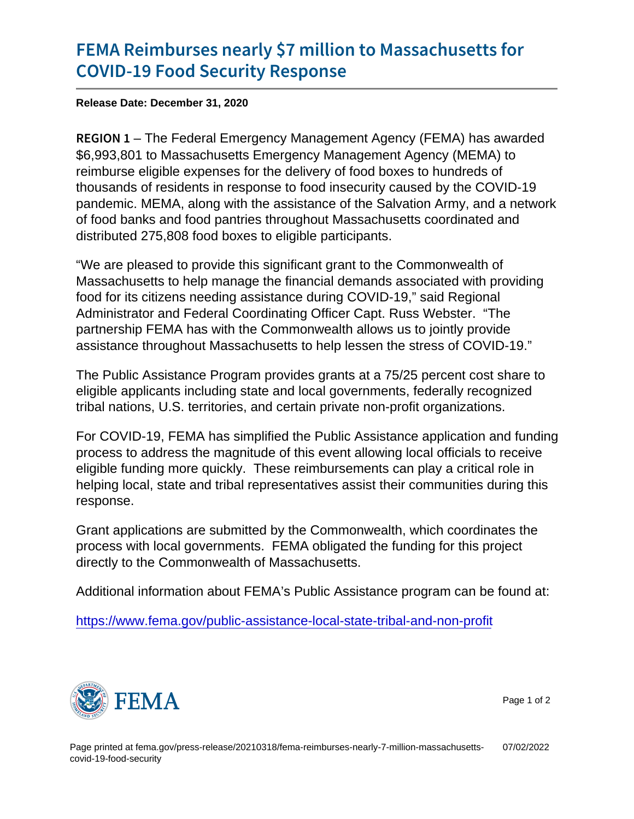## [FEMA Reimburses nearly \\$7 millio](https://www.fema.gov/press-release/20210318/fema-reimburses-nearly-7-million-massachusetts-covid-19-food-security)n to Mas [COVID-19 Food Secu](https://www.fema.gov/press-release/20210318/fema-reimburses-nearly-7-million-massachusetts-covid-19-food-security)rity Response

Release Date: December 31, 2020

R E G I O-NThe Federal Emergency Management Agency (FEMA) has awarded \$6,993,801 to Massachusetts Emergency Management Agency (MEMA) to reimburse eligible expenses for the delivery of food boxes to hundreds of thousands of residents in response to food insecurity caused by the COVID-19 pandemic. MEMA, along with the assistance of the Salvation Army, and a network of food banks and food pantries throughout Massachusetts coordinated and distributed 275,808 food boxes to eligible participants.

"We are pleased to provide this significant grant to the Commonwealth of Massachusetts to help manage the financial demands associated with providing food for its citizens needing assistance during COVID-19," said Regional Administrator and Federal Coordinating Officer Capt. Russ Webster. "The partnership FEMA has with the Commonwealth allows us to jointly provide assistance throughout Massachusetts to help lessen the stress of COVID-19."

The Public Assistance Program provides grants at a 75/25 percent cost share to eligible applicants including state and local governments, federally recognized tribal nations, U.S. territories, and certain private non-profit organizations.

For COVID-19, FEMA has simplified the Public Assistance application and funding process to address the magnitude of this event allowing local officials to receive eligible funding more quickly. These reimbursements can play a critical role in helping local, state and tribal representatives assist their communities during this response.

Grant applications are submitted by the Commonwealth, which coordinates the process with local governments. FEMA obligated the funding for this project directly to the Commonwealth of Massachusetts.

Additional information about FEMA's Public Assistance program can be found at:

<https://www.fema.gov/public-assistance-local-state-tribal-and-non-profit>



Page 1 of 2